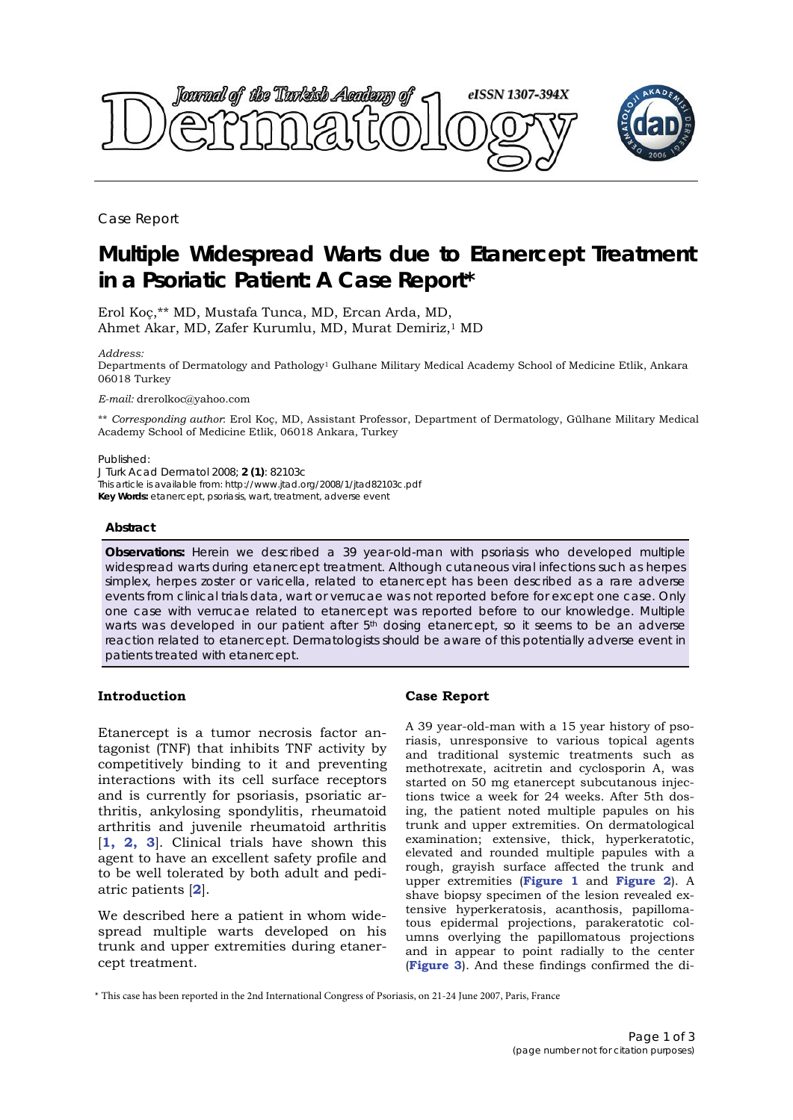

Case Report

# **Multiple Widespread Warts due to Etanercept Treatment in a Psoriatic Patient: A Case Report\***

Erol Koç,\*\* MD, Mustafa Tunca, MD, Ercan Arda, MD, Ahmet Akar, MD, Zafer Kurumlu, MD, Murat Demiriz,1 MD

*Address:* 

Departments of Dermatology and Pathology1 Gulhane Military Medical Academy School of Medicine Etlik, Ankara 06018 Turkey

*E-mail:* drerolkoc@yahoo.com

\*\* *Corresponding author*: Erol Koç, MD, Assistant Professor, Department of Dermatology, Gülhane Military Medical Academy School of Medicine Etlik, 06018 Ankara, Turkey

Published:

*J Turk Acad Dermatol* 2008; **2 (1)**: 82103c This article is available from: http://www.jtad.org/2008/1/jtad82103c.pdf **Key Words:** etanercept, psoriasis, wart, treatment, adverse event

#### **Abstract**

**Observations:** Herein we described a 39 year-old-man with psoriasis who developed multiple widespread warts during etanercept treatment. Although cutaneous viral infections such as herpes simplex, herpes zoster or varicella, related to etanercept has been described as a rare adverse events from clinical trials data, wart or verrucae was not reported before for except one case. Only one case with verrucae related to etanercept was reported before to our knowledge. Multiple warts was developed in our patient after 5<sup>th</sup> dosing etanercept, so it seems to be an adverse reaction related to etanercept. Dermatologists should be aware of this potentially adverse event in patients treated with etanercept.

## **Introduction**

Etanercept is a tumor necrosis factor antagonist (TNF) that inhibits TNF activity by competitively binding to it and preventing interactions with its cell surface receptors and is currently for psoriasis, psoriatic arthritis, ankylosing spondylitis, rheumatoid arthritis and juvenile rheumatoid arthritis [**1, 2, 3**]. Clinical trials have shown this agent to have an excellent safety profile and to be well tolerated by both adult and pediatric patients [**2**].

We described here a patient in whom widespread multiple warts developed on his trunk and upper extremities during etanercept treatment.

# **Case Report**

A 39 year-old-man with a 15 year history of psoriasis, unresponsive to various topical agents and traditional systemic treatments such as methotrexate, acitretin and cyclosporin A, was started on 50 mg etanercept subcutanous injections twice a week for 24 weeks. After 5th dosing, the patient noted multiple papules on his trunk and upper extremities. On dermatological examination; extensive, thick, hyperkeratotic, elevated and rounded multiple papules with a rough, grayish surface affected the trunk and upper extremities (**Figure 1** and **Figure 2**). A shave biopsy specimen of the lesion revealed extensive hyperkeratosis, acanthosis, papillomatous epidermal projections, parakeratotic columns overlying the papillomatous projections and in appear to point radially to the center (**Figure 3**). And these findings confirmed the di-

\* This case has been reported in the 2nd International Congress of Psoriasis, on 21-24 June 2007, Paris, France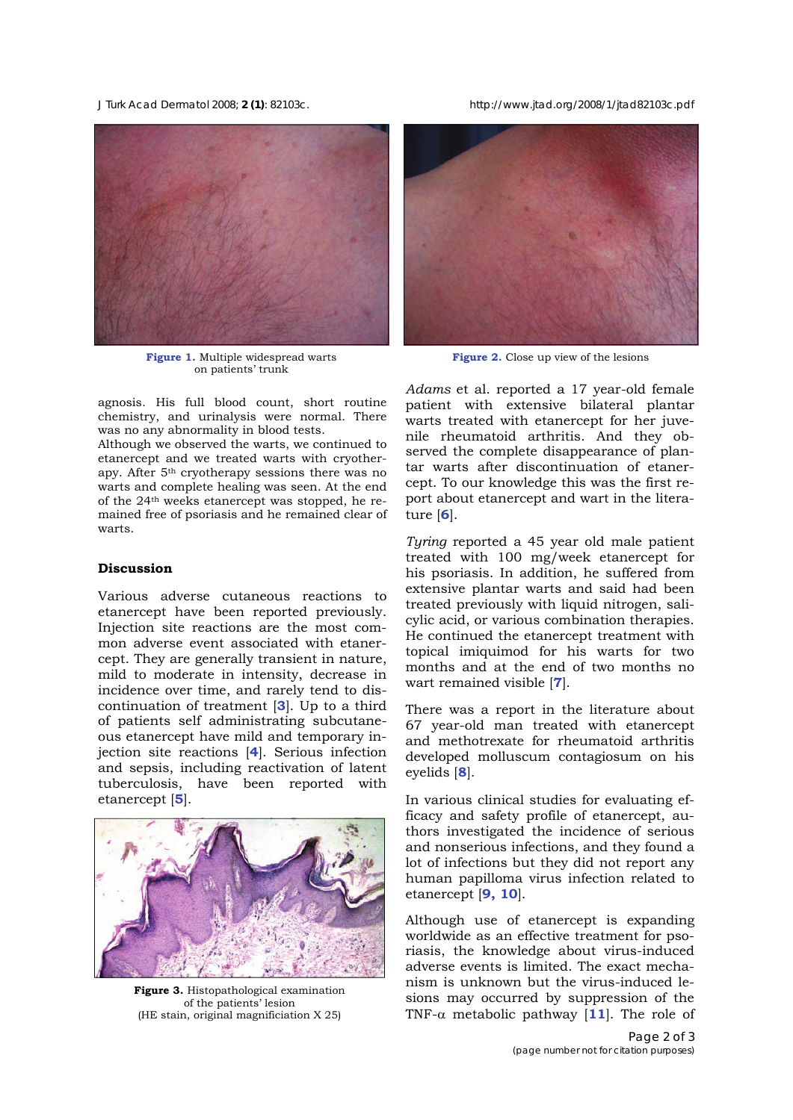*J Turk Acad Dermatol* 2008; **2 (1)**: 82103c. http://www.jtad.org/2008/1/jtad82103c.pdf



**Figure 1.** Multiple widespread warts on patients' trunk

agnosis. His full blood count, short routine chemistry, and urinalysis were normal. There was no any abnormality in blood tests.

Although we observed the warts, we continued to etanercept and we treated warts with cryotherapy. After 5th cryotherapy sessions there was no warts and complete healing was seen. At the end of the 24th weeks etanercept was stopped, he remained free of psoriasis and he remained clear of warts.

#### **Discussion**

Various adverse cutaneous reactions to etanercept have been reported previously. Injection site reactions are the most common adverse event associated with etanercept. They are generally transient in nature, mild to moderate in intensity, decrease in incidence over time, and rarely tend to discontinuation of treatment [**3**]. Up to a third of patients self administrating subcutaneous etanercept have mild and temporary injection site reactions [**4**]. Serious infection and sepsis, including reactivation of latent tuberculosis, have been reported with etanercept [**5**].



**Figure 3.** Histopathological examination of the patients' lesion (HE stain, original magnificiation X 25)



Figure 2. Close up view of the lesions

*Adams* et al. reported a 17 year-old female patient with extensive bilateral plantar warts treated with etanercept for her juvenile rheumatoid arthritis. And they observed the complete disappearance of plantar warts after discontinuation of etanercept. To our knowledge this was the first report about etanercept and wart in the literature [**6**].

*Tyring* reported a 45 year old male patient treated with 100 mg/week etanercept for his psoriasis. In addition, he suffered from extensive plantar warts and said had been treated previously with liquid nitrogen, salicylic acid, or various combination therapies. He continued the etanercept treatment with topical imiquimod for his warts for two months and at the end of two months no wart remained visible [**7**].

There was a report in the literature about 67 year-old man treated with etanercept and methotrexate for rheumatoid arthritis developed molluscum contagiosum on his eyelids [**8**].

In various clinical studies for evaluating efficacy and safety profile of etanercept, authors investigated the incidence of serious and nonserious infections, and they found a lot of infections but they did not report any human papilloma virus infection related to etanercept [**9, 10**].

Although use of etanercept is expanding worldwide as an effective treatment for psoriasis, the knowledge about virus-induced adverse events is limited. The exact mechanism is unknown but the virus-induced lesions may occurred by suppression of the TNF- $\alpha$  metabolic pathway [11]. The role of